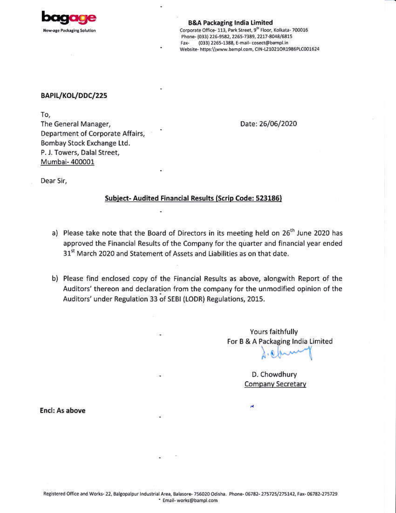

#### **B&A Packaging India Limited**

Corporate Office- 113, Park Street, 9th Floor, Kolkata- 700016 Phone- (033) 226-9582, 2265-7389, 2217-8048/6815 Fax- (033) 2265-1388, E-mail-cosect@bampl.in Website- https://www.bampl.com, CIN-L21021OR1986PLC001624

#### BAPIL/KOL/DDC/225

To,

The General Manager, Department of Corporate Affairs, Bombay Stock Exchange Ltd. P. J. Towers, Dalal Street, Mumbai- 400001

Date: 26/06/2020

Dear Sir,

#### Subject- Audited Financial Results (Scrip Code: 523186)

- a) Please take note that the Board of Directors in its meeting held on 26<sup>th</sup> June 2020 has approved the Financial Results of the Company for the quarter and financial year ended 31<sup>st</sup> March 2020 and Statement of Assets and Liabilities as on that date.
- b) Please find enclosed copy of the Financial Results as above, alongwith Report of the Auditors' thereon and declaration from the company for the unmodified opinion of the Auditors' under Regulation 33 of SEBI (LODR) Regulations, 2015.

Yours faithfully For B & A Packaging India Limited

> D. Chowdhury **Company Secretary**

 $\overline{\mathbf{x}}$ 

Encl: As above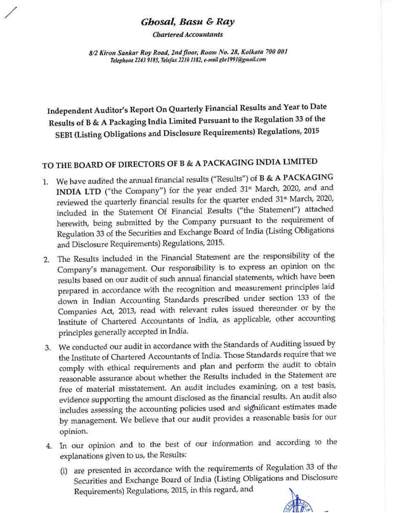# Ghosal, Basu & Ray

**Chartered Accountants** 

8/2 Kiron Sankar Roy Road, 2nd floor, Room No. 28, Kolkata 700 001 Telephone 2243 9185, Telefax 2210 1182, e-mail gbr1991@gmail.com

Independent Auditor's Report On Quarterly Financial Results and Year to Date Results of B & A Packaging India Limited Pursuant to the Regulation 33 of the SEBI (Listing Obligations and Disclosure Requirements) Regulations, 2015

# TO THE BOARD OF DIRECTORS OF B & A PACKAGING INDIA LIMITED

- 1. We have audited the annual financial results ("Results") of B & A PACKAGING INDIA LTD ("the Company") for the year ended 31<sup>st</sup> March, 2020, and and reviewed the quarterly financial results for the quarter ended 31<sup>st</sup> March, 2020, included in the Statement Of Financial Results ("the Statement") attached herewith, being submitted by the Company pursuant to the requirement of Regulation 33 of the Securities and Exchange Board of India (Listing Obligations and Disclosure Requirements) Regulations, 2015.
- 2. The Results included in the Financial Statement are the responsibility of the Company's management. Our responsibility is to express an opinion on the results based on our audit of such annual financial statements, which have been prepared in accordance with the recognition and measurement principles laid down in Indian Accounting Standards prescribed under section 133 of the Companies Act, 2013, read with relevant rules issued thereunder or by the Institute of Chartered Accountants of India, as applicable, other accounting principles generally accepted in India.
- 3. We conducted our audit in accordance with the Standards of Auditing issued by the Institute of Chartered Accountants of India. Those Standards require that we comply with ethical requirements and plan and perform the audit to obtain reasonable assurance about whether the Results included in the Statement are free of material misstatement. An audit includes examining, on a test basis, evidence supporting the amount disclosed as the financial results. An audit also includes assessing the accounting policies used and significant estimates made by management. We believe that our audit provides a reasonable basis for our opinion.
- 4. In our opinion and to the best of our information and according to the explanations given to us, the Results:
	- (i) are presented in accordance with the requirements of Regulation 33 of the Securities and Exchange Board of India (Listing Obligations and Disclosure Requirements) Regulations, 2015, in this regard, and

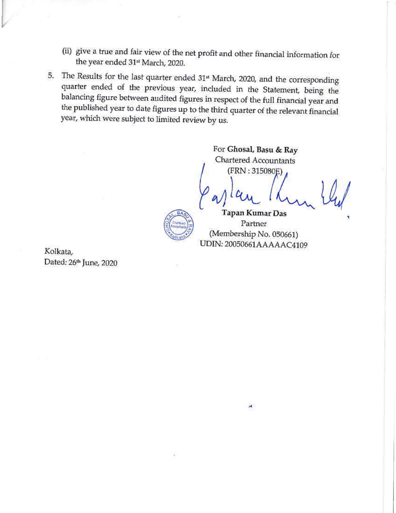- (ii) give a true and fair view of the net profit and other financial information for the year ended 31<sup>st</sup> March, 2020.
- 5. The Results for the last quarter ended 31<sup>st</sup> March, 2020, and the corresponding quarter ended of the previous year, included in the Statement, being the balancing figure between audited figures in respect of the full financial year and the published year to date figures up to the third quarter of the relevant financial year, which were subject to limited review by us.

For Ghosal, Basu & Ray Chartered Accountants (FRN: 315080E)

Tapan Kumar Das Partner (Membership No. 050661) UDIN: 20050661AAAAAC4109

×

Kolkata, Dated: 26<sup>th</sup> June, 2020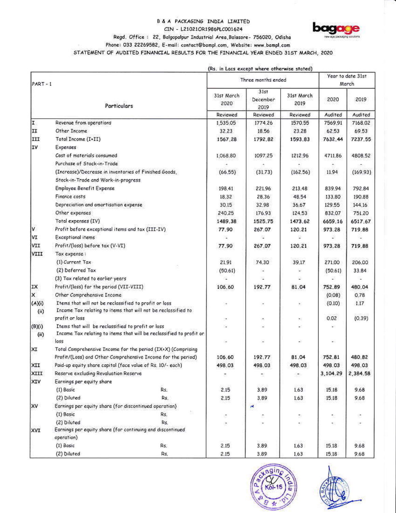#### B & A PACKAGING INDIA LIMITED CIN - L21021OR1986PLC001624



#### Regd. Office: 22, Balgopalpur Industrial Area, Balasore- 756020, Odisha

Phone: 033 22269582, E-mail: contact@bampl.com, Website: www.bampl.com

STATEMENT OF AUDITED FINANCIAL RESULTS FOR THE FINANCIAL YEAR ENDED 31ST MARCH, 2020

|                |                                                                                                                              | (RS. In Lacs except where otherwise stated) |                          |                    |                            |                          |
|----------------|------------------------------------------------------------------------------------------------------------------------------|---------------------------------------------|--------------------------|--------------------|----------------------------|--------------------------|
| PART-1         |                                                                                                                              | Three months ended                          |                          |                    | Year to date 31st<br>March |                          |
|                | Particulars                                                                                                                  | 31st March<br>2020                          | 31st<br>December<br>2019 | 31st March<br>2019 | 2020                       | 2019                     |
|                |                                                                                                                              | Reviewed                                    | Reviewed                 | Reviewed           | Audited                    | Audited                  |
| I              | Revenue from operations                                                                                                      | 1,535.05                                    | 1774.26                  | 1570,55            | 7569,91                    | 7168.02                  |
| II             | Other Income                                                                                                                 | 32.23                                       | 18.56                    | 23.28              | 62.53                      | 69.53                    |
| III            | Total Income (I+II)                                                                                                          | 1567.28                                     | 1792.82                  | 1593.83            | 7632,44                    | 7237.55                  |
| IV             | Expenses                                                                                                                     |                                             |                          |                    |                            |                          |
|                | Cost of materials consumed                                                                                                   | 1,068.80                                    | 1097.25                  | 1212.96            | 4711.86                    | 4808,52                  |
|                | Purchase of Stock-in-Trade                                                                                                   |                                             |                          |                    |                            |                          |
|                | (Increase)/Decrease in inventories of Finished Goods,                                                                        | (66.55)                                     | (31.73)                  | (162.56)           | 11.94                      | (169.93)                 |
|                | Stock-in-Trade and Work-in-progress                                                                                          |                                             |                          |                    |                            |                          |
|                | Employee Benefit Expense                                                                                                     | 198.41                                      | 221.96                   | 213.48             | 839.94                     | 792.84                   |
|                | Finance costs                                                                                                                | 18.32                                       | 28.36                    | 48.54              | 133.80                     | 190.88                   |
|                | Depreciation and amortisation expense                                                                                        | 30.15                                       | 32.98                    | 36.67              | 129.55                     | 144.16                   |
|                | Other expenses                                                                                                               | 240.25                                      | 176.93                   | 124.53             | 832.07                     | 751.20                   |
|                | Total expenses (IV)                                                                                                          | 1489.38                                     | 1525.75                  | 1473.62            | 6659.16                    | 6517.67                  |
| V              | Profit before exceptional items and tax (III-IV)                                                                             | 77.90                                       | 267.07                   | 120.21             | 973.28                     | 719.88                   |
| ٧I             | Exceptional items                                                                                                            |                                             |                          |                    |                            |                          |
| VII            | Profit/(loss) before tax (V-VI)                                                                                              | 77.90                                       | 267.07                   | 120.21             | 973,28                     | 719.88                   |
| VIII           | Tax expense:                                                                                                                 |                                             |                          |                    |                            |                          |
|                | (1) Current Tax                                                                                                              | 21.91                                       | 74.30                    | 39.17              | 271.00                     | 206,00                   |
|                | (2) Deferred Tax                                                                                                             | (50.61)                                     |                          |                    | (50.61)                    | 33.84                    |
|                | (3) Tax related to earlier years                                                                                             |                                             |                          |                    |                            |                          |
| IX             | Profit/(loss) for the period (VII-VIII)                                                                                      | 106.60                                      | 192.77                   | 81.04              | 752.89                     | 480.04                   |
| ×              | Other Comprehensive Income                                                                                                   |                                             |                          |                    | (0.08)                     | 0.78                     |
| (A)(i)<br>(ii) | Items that will not be reclassified to profit or loss<br>Income Tax relating to items that will not be reclassified to       |                                             |                          | ¥.                 | (0.10)                     | 1.17                     |
|                | profit or loss                                                                                                               |                                             |                          | ×                  | 0.02                       | (0.39)                   |
| (B)(i)<br>(ii) | Items that will be reclassified to profit or loss<br>Income Tax relating to items that will be reclassified to profit or     |                                             |                          |                    |                            |                          |
|                | loss                                                                                                                         |                                             |                          |                    |                            |                          |
| XI             | Total Comprehensive Income for the period (IX+X) (Comprising<br>Profit/(Loss) and Other Comprehensive Income for the period) |                                             | 192.77                   | 81.04              | 752.81                     | 480.B2                   |
| XII            | 972 M<br>Paid-up equity share capital (face value of Rs, 10/- each)                                                          | 106.60                                      | 498.03                   |                    | 498.03                     | 498.03                   |
| XIII           | Reserve excluding Revaluation Reserve                                                                                        | 498.03                                      |                          | 498.03             | 3,104.29                   | 2,384.58                 |
| XIV            | Earnings per equity share                                                                                                    | Ŧ,                                          | 震                        | Ø.                 |                            |                          |
|                | (1) Basic<br>Rs.                                                                                                             | 2.15                                        | 3.89                     | 1.63               | 15.18                      | 9.68                     |
|                | (2) Diluted<br>Rs.                                                                                                           |                                             | 3.89                     | 1.63               | 15.18                      | 9.68                     |
| <b>XV</b>      | Earnings per equity share (for discontinued operation)                                                                       | 2.15                                        | ×                        |                    |                            |                          |
|                | (1) Basic                                                                                                                    |                                             |                          |                    |                            |                          |
|                | Rs.<br>(2) Diluted<br>Rs.                                                                                                    | ę.                                          |                          |                    |                            |                          |
| XVI            | Earnings per equity share (for continuing and discontinued<br>operation)                                                     | ÷.                                          |                          |                    | ÷.                         | $\overline{\phantom{a}}$ |
|                | Rs.<br>(1) Basic                                                                                                             | 2.15                                        | 3.89                     | 1.63               | 15.18                      | 9.68                     |
|                | (2) Diluted<br>Rs.                                                                                                           | 2.15                                        | 389                      | 163                | 15.18                      | 9.68                     |





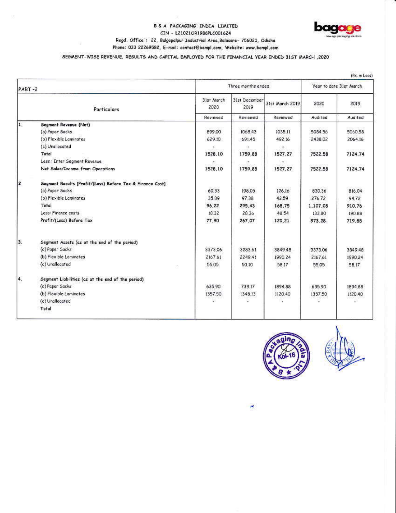#### **B & A PACKAGING INDIA LIMITED** CIN - L21021OR1986PLC001624



#### Regd. Office : 22, Balgapalpur Industrial Area, Balasore- 756020, Odisha Phone: 033 22269582, E-mail: contact@bampl.com, Website: www.bampl.com

#### SEGMENT-WISE REVENUE, RESULTS AND CAPITAL EMPLOYED FOR THE FINANCIAL YEAR ENDED 31ST MARCH ,2020

| PART-2 |                                                           |                    | Three months ended                |                             |                              | Year to date 31st March |  |
|--------|-----------------------------------------------------------|--------------------|-----------------------------------|-----------------------------|------------------------------|-------------------------|--|
|        | Particulars                                               | 31st March<br>2020 | 31st December<br>2019<br>Reviewed | 31st March 2019<br>Reviewed | 2020<br>Audited              | 2019<br>Audited         |  |
|        |                                                           | Reviewed           |                                   |                             |                              |                         |  |
| 1.     | Segment Revenue (Net)                                     |                    |                                   |                             |                              |                         |  |
|        | (a) Paper Sacks                                           | 899.00             | 1068.43                           | 1035.11                     | 5084.56                      | 5060.58                 |  |
|        | (b) Flexible Laminates                                    | 629.10             | 691.45                            | 492.16                      | 2438.02                      | 2054.16                 |  |
|        | (c) Unallocated                                           |                    |                                   |                             |                              |                         |  |
|        | Total                                                     | 1528.10            | 1759.88                           | 1527.27                     | 7522.58                      | 7124.74                 |  |
|        | Less : Inter Segment Revenue                              |                    |                                   |                             |                              |                         |  |
|        | Net Sales/Income from Operations                          | 1528.10            | 1759.88                           | 1527.27                     | 7522.58                      | 7124.74                 |  |
| 2.     | Segment Results [Profit/(Loss) Before Tax & Finance Cost] |                    |                                   |                             |                              |                         |  |
|        | (a) Paper Sacks                                           | 60.33              | 198.05                            | 126.16                      | 830.36                       | 816.04                  |  |
|        | (b) Flexible Laminates                                    | 35.89              | 97.38                             | 42.59                       | 276.72                       | 94.72                   |  |
|        | Total                                                     | 96 22              | 295.43                            | 168 75                      | 1,107.08<br>133.80<br>973.28 | 910.76                  |  |
|        | Less: Finance costs                                       | 18.32              | 28.36                             | 48.54                       |                              | 190.88                  |  |
|        | Profit/(Loss) Before Tax                                  | 77.90              | 267,07                            | 120.21                      |                              | 719.88                  |  |
| 3.     | Segment Assets (as at the end of the period)              |                    |                                   |                             |                              |                         |  |
|        | (a) Paper Sacks                                           | 3373.06            | 3283.61                           | 3849.48                     | 3373.06                      | 3849.48                 |  |
|        | (b) Flexible Laminates                                    | 2167.61            | 2249.41                           | 1990.24                     | 2167.61                      | 1990.24                 |  |
|        | (c) Unallocated                                           | 55.05              | 50.10                             | 58.17                       | 55.05                        | 58.17                   |  |
| 4.     | Segment Liabilities (as at the end of the period)         |                    |                                   |                             |                              |                         |  |
|        | (a) Paper Socks                                           | 635.90             | 739.17                            | 1894.88                     | 635.90                       | 1894.88                 |  |
|        | (b) Flexible Laminates                                    | 1357.50            | 1348.13                           | 1120.40                     | 1357.50                      | 1120.40                 |  |
|        | (c) Unallocated                                           |                    |                                   |                             |                              |                         |  |
|        | Total                                                     |                    |                                   |                             |                              |                         |  |

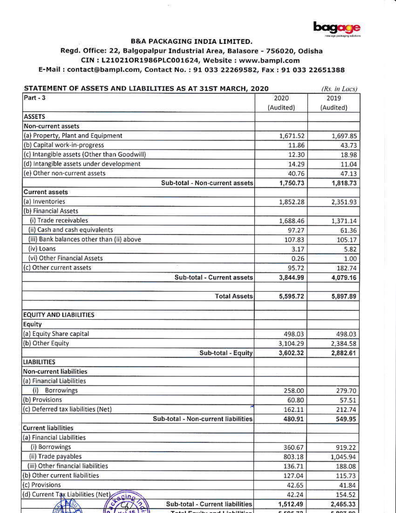

### **B&A PACKAGING INDIA LIMITED.**

# Regd. Office: 22, Balgopalpur Industrial Area, Balasore - 756020, Odisha CIN: L21021OR1986PLC001624, Website: www.bampl.com E-Mail: contact@bampl.com, Contact No.: 91 033 22269582, Fax: 91 033 22651388

| STATEMENT OF ASSETS AND LIABILITIES AS AT 31ST MARCH, 2020 |           |           |
|------------------------------------------------------------|-----------|-----------|
| $Part - 3$                                                 | 2020      | 2019      |
|                                                            | (Audited) | (Audited) |
| <b>ASSETS</b>                                              |           |           |
| Non-current assets                                         |           |           |
| (a) Property, Plant and Equipment                          | 1,671.52  | 1,697.85  |
| (b) Capital work-in-progress                               | 11.86     | 43.73     |
| (c) Intangible assets (Other than Goodwill)                | 12.30     | 18.98     |
| (d) Intangible assets under development                    | 14.29     | 11.04     |
| (e) Other non-current assets                               | 40.76     | 47.13     |
| Sub-total - Non-current assets                             | 1,750.73  | 1,818.73  |
| <b>Current assets</b>                                      |           |           |
| (a) Inventories                                            | 1,852.28  | 2,351.93  |
| (b) Financial Assets                                       |           |           |
| (i) Trade receivables                                      | 1,688.46  | 1,371.14  |
| (ii) Cash and cash equivalents                             | 97.27     | 61.36     |
| (iii) Bank balances other than (ii) above                  | 107.83    | 105.17    |
| (iv) Loans                                                 | 3.17      | 5.82      |
| (vi) Other Financial Assets                                | 0.26      | 1.00      |
| (c) Other current assets                                   | 95.72     | 182.74    |
| Sub-total - Current assets                                 | 3,844.99  | 4,079.16  |
| <b>Total Assets</b>                                        | 5,595.72  | 5,897.89  |
| <b>EQUITY AND LIABILITIES</b>                              |           |           |
| Equity                                                     |           |           |
| (a) Equity Share capital                                   | 498.03    | 498.03    |
| (b) Other Equity                                           | 3,104.29  | 2,384.58  |
| Sub-total - Equity                                         | 3,602.32  | 2,882.61  |
| <b>LIABILITIES</b>                                         |           |           |
| <b>Non-current liabilities</b>                             |           |           |
| (a) Financial Liabilities                                  |           |           |
| (i)<br><b>Borrowings</b>                                   | 258.00    | 279.70    |
| (b) Provisions                                             | 60.80     | 57.51     |
| (c) Deferred tax liabilities (Net)                         | 162.11    | 212.74    |
| Sub-total - Non-current liabilities                        | 480.91    | 549.95    |
| <b>Current liabilities</b>                                 |           |           |
| (a) Financial Liabilities                                  |           |           |
| (i) Borrowings                                             |           |           |
| (ii) Trade payables                                        | 360.67    | 919.22    |
| (iii) Other financial liabilities                          | 803.18    | 1,045.94  |
|                                                            | 136.71    | 188.08    |
| (b) Other current liabilities                              | 127.04    | 115.73    |
| (c) Provisions                                             | 42.65     | 41.84     |
| (d) Current Tax Liabilities (Net)                          | 42.24     | 154.52    |
| $\mathbf{M}$<br>Sub-total - Current liabilities            | 1,512.49  | 2,465.33  |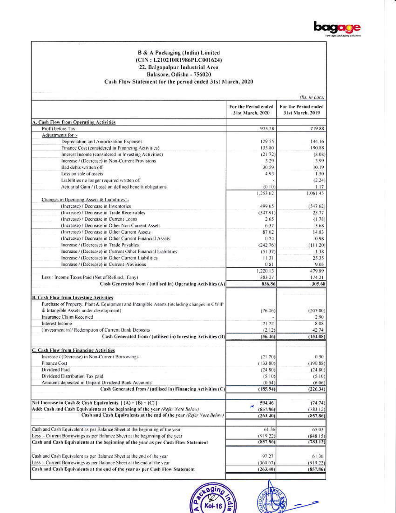

# B & A Packaging (India) Limited<br>(CIN: L210210R1986PLC001624)

## 22, Balgopalpur Industrial Area

#### Balasore, Odisha - 756020

#### Cash Flow Statement for the period ended 31st March, 2020

|                                                                                          |                                          | (Rs. in Lacs)                            |
|------------------------------------------------------------------------------------------|------------------------------------------|------------------------------------------|
|                                                                                          | For the Period ended<br>31st March, 2020 | For the Period ended<br>31st March, 2019 |
| A. Cash Flow from Operating Activities                                                   |                                          |                                          |
| Profit before Tax                                                                        | 973.28                                   | 719.88                                   |
| Adjustments for :-                                                                       |                                          |                                          |
| Depreciation and Amortization Expenses                                                   | 129.55                                   | 144.16                                   |
| Finance Cost (considered in Financing Activities).                                       | 133.80                                   | 190.88                                   |
| Interest Income (considered in Investing Activities)                                     | (2172)                                   | (8.08)                                   |
| Increase / (Decrease) in Non-Current Provisions                                          | 3.29                                     | 3.99                                     |
| Bad debts written off                                                                    | 30.59                                    | 10.19                                    |
| Loss on sale of assets                                                                   | 493                                      | 1.50                                     |
| Liabilities no longer required written off                                               |                                          | (2.24)                                   |
| Actuarial Gain / (Loss) on defined benefit obligations.                                  | (0.10)                                   | 1.17                                     |
|                                                                                          | 1,253.62                                 | 1.061.45                                 |
| Changes in Operating Assets & Liabilities -                                              |                                          |                                          |
| (Increase) / Decrease in Inventories                                                     | 499.65                                   | (547.62)                                 |
| (Increase) / Decrease in Trade Receivables                                               | (347.91)                                 | 23.77                                    |
| (Increase) / Decrease in Current Loans                                                   | 265                                      | (178)                                    |
| (Increase) / Decrease in Other Non-Current Assets                                        | 637                                      | 3.68                                     |
| (Increase) / Decrease in Other Current Assets                                            | 87.02                                    | 14.83                                    |
| (Increase) / Decrease in Other Current Financial Assets                                  | 0.74                                     | 0.98                                     |
| Increase / (Decrease) in Trade Payables                                                  | (242.76)                                 | (111.20)                                 |
| Increase / (Decrease) in Current Other Financial Liabilities                             | (51.37)                                  | 1.38                                     |
| Increase / (Decrease) in Other Current Liabilities                                       | 11.31                                    | 25.35                                    |
| Increase / (Decrease) in Current Provisions                                              | 0.81                                     | 9.05                                     |
|                                                                                          | 1,220.13                                 | 479.89                                   |
| Less : Income Taxes Paid (Net of Refund, if any)                                         | 383.27                                   | 174.21                                   |
| Cash Generated from / (utilised in) Operating Activities (A)                             | 836.86                                   | 305.68                                   |
|                                                                                          |                                          |                                          |
| <b>B. Cash Flow from Investing Activities</b>                                            |                                          |                                          |
| Purchase of Property, Plant & Equipment and Intangible Assets (including changes in CWIP |                                          |                                          |
| & Intangible Assets under development)                                                   | (76.06)                                  | (207.80)                                 |
| Insurance Claim Received                                                                 |                                          | 2.90                                     |
| Interest Income                                                                          | 21.72                                    | 808                                      |
| (Investment in)/ Redemption of Current Bank Deposits                                     | (2.12)                                   | 42.74                                    |
| Cash Generated from / (utilised in) Investing Activities (B)                             | (56, 46)                                 | (154.08)                                 |
| C. Cash Flow from Financing Activities                                                   |                                          |                                          |
| Increase / (Decrease) in Non-Current Borrowings                                          | (2170)                                   | 0.50                                     |
| Finance Cost                                                                             | (133.80)                                 | (190.88)                                 |
| Dividend Paid                                                                            | (24.80)                                  | (24.80)                                  |
| Dividend Distribution Tax paid                                                           | (5.10)                                   | (5.10)                                   |
| Amounts deposited in Unpaid Dividend Bank Accounts                                       | (0.54)                                   | (6.06)                                   |
| Cash Generated from / (utilised in) Financing Activities (C)                             | (185.94)                                 | (226.34)                                 |
|                                                                                          |                                          |                                          |
| Net Increase in Cash & Cash Equivalents   (A) + (B) + (C) ]                              | 594.46                                   | (74.74)                                  |
| Add: Cash and Cash Equivalents at the beginning of the year (Refer Note Below)           | ×<br>(857.86)                            | (783.12)                                 |
| Cash and Cash Equivalents at the end of the year (Refer Note Below)                      | (263, 40)                                | (857, 86)                                |
| Cash and Cash Equivalent as per Balance Sheet at the beginning of the year.              | 61.36                                    | 65.03                                    |
| Less - Current Borrowings as per Balance Sheet at the beginning of the year              | (919.22)                                 | (848.15)                                 |
| Cash and Cash Equivalents at the beginning of the year as per Cash Flow Statement        | (857.86)                                 | (783.12)                                 |
|                                                                                          |                                          |                                          |
| Cash and Cash Equivalent as per Balance Sheet at the end of the year                     | 97.27                                    | 61.36                                    |
| Less :- Current Borrowings as per Balance Sheet at the end of the year                   | (360.67)                                 | (919.22)                                 |
| Cash and Cash Equivalents at the end of the year as per Cash Flow Statement              | (263.40)                                 | (857.86)                                 |

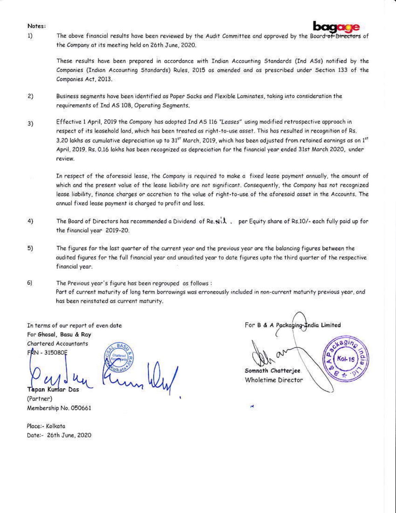Notes:



These results have been prepared in accordance with Indian Accounting Standards (Ind ASs) notified by the Companies (Indian Accounting Standards) Rules, 2015 as amended and as prescribed under Section 133 of the Companies Act, 2013.

- Business segments have been identified as Paper Sacks and Flexible Laminates, taking into consideration the  $2)$ requirements of Ind AS 108, Operating Segments.
- Effective 1 April, 2019 the Company has adopted Ind AS 116 "Leases" using modified retrospective approach in 3) respect of its leasehold land, which has been treated as right-to-use asset. This has resulted in recognition of Rs. 3.20 lakhs as cumulative depreciation up to 31<sup>st</sup> March, 2019, which has been adjusted from retained earnings as on 1<sup>57</sup> April, 2019. Rs. 0.16 lakhs has been recognized as depreciation for the financial year ended 31st March 2020, under review.
	- In respect of the aforesaid lease, the Company is required to make a fixed lease payment annually, the amount of which and the present value of the lease liability are not significant. Consequently, the Company has not recognized lease liability, finance charges or accretion to the value of right-to-use of the aforesaid asset in the Accounts. The annual fixed lease payment is charged to profit and loss.
- The Board of Directors has recommended a Dividend of Re. Nil. per Equity share of Rs.10/- each fully paid up for 4) the financial year 2019-20.
- The figures for the last quarter of the current year and the previous year are the balancing figures between the 5) audited figures for the full financial year and unaudited year to date figures upto the third guarter of the respective financial year.
- $6)$ The Previous year's figure has been regrouped as follows: Part of current maturity of long term borrowings was erroneously included in non-current maturity previous year, and has been reinstated as current maturity.

In terms of our report of even date For Ghosal, Basu & Ray Chartered Accountants FRN - 315080E

Tapan Kumar Das (Partner) Membership No. 050661

Place:- Kolkata Date:- 26th June, 2020

For B & A Packaging India Limited



Somnath Chatterjee Wholetime Director